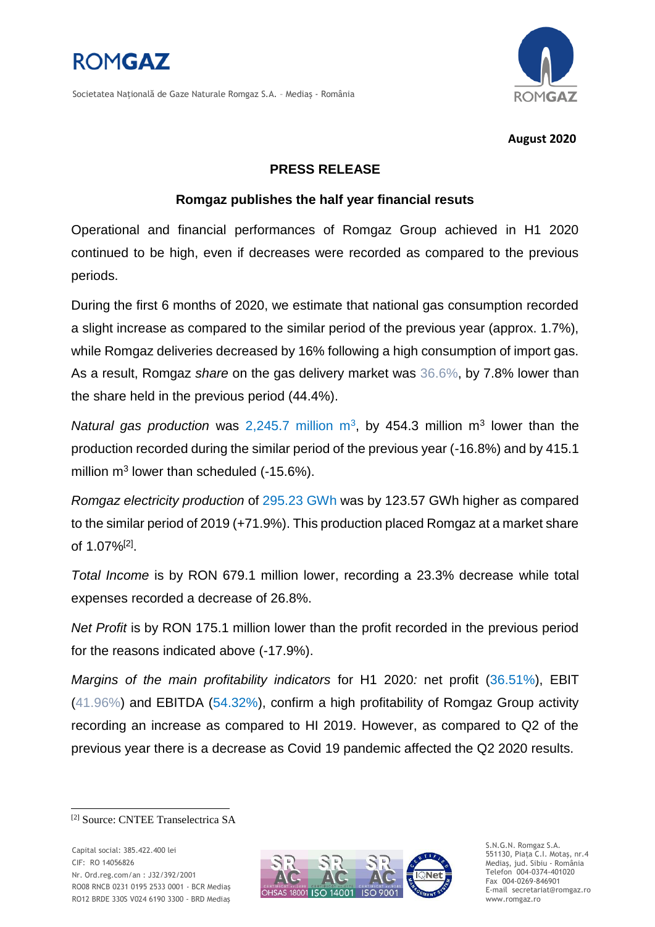

Societatea Natională de Gaze Naturale Romgaz S.A. - Medias - România



### **August 2020**

# **PRESS RELEASE**

# **Romgaz publishes the half year financial resuts**

Operational and financial performances of Romgaz Group achieved in H1 2020 continued to be high, even if decreases were recorded as compared to the previous periods.

During the first 6 months of 2020, we estimate that national gas consumption recorded a slight increase as compared to the similar period of the previous year (approx. 1.7%), while Romgaz deliveries decreased by 16% following a high consumption of import gas. As a result, Romgaz *share* on the gas delivery market was 36.6%, by 7.8% lower than the share held in the previous period (44.4%).

Natural gas production was  $2,245.7$  million  $m^3$ , by 454.3 million  $m^3$  lower than the production recorded during the similar period of the previous year (-16.8%) and by 415.1 million  $m^3$  lower than scheduled (-15.6%).

*Romgaz electricity production* of 295.23 GWh was by 123.57 GWh higher as compared to the similar period of 2019 (+71.9%). This production placed Romgaz at a market share of 1.07%[2] .

*Total Income* is by RON 679.1 million lower, recording a 23.3% decrease while total expenses recorded a decrease of 26.8%.

*Net Profit* is by RON 175.1 million lower than the profit recorded in the previous period for the reasons indicated above (-17.9%).

*Margins of the main profitability indicators* for H1 2020: net profit (36.51%), EBIT (41.96%) and EBITDA (54.32%), confirm a high profitability of Romgaz Group activity recording an increase as compared to HI 2019. However, as compared to Q2 of the previous year there is a decrease as Covid 19 pandemic affected the Q2 2020 results.

-



S.N.G.N. Romgaz S.A. 551130, Piața C.I. Motaş, nr.4 Mediaş, jud. Sibiu - România Telefon 004-0374-401020 Fax 004-0269-846901 E-mail secretariat@romgaz.ro www.romgaz.ro

<sup>[2]</sup> Source: CNTEE Transelectrica SA